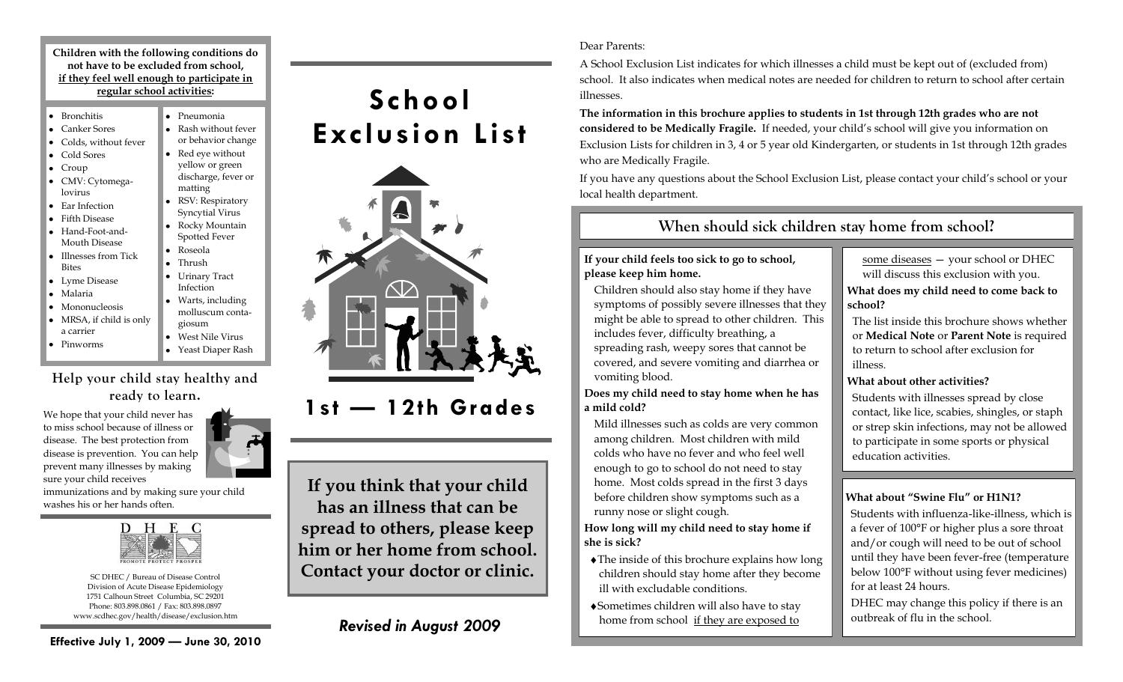#### **Children with the following conditions do not have to be excluded from school, if they feel well enough to participate in regular school activities:**

- Bronchitis
- Canker Sores
- Colds, without fever
- Cold Sores
- Croup
- CMV: Cytomegalovirus
- Ear Infection
- Fifth Disease
- Hand-Foot-and-Mouth Disease
- Illnesses from Tick Bites
- Lyme Disease
- Malaria
- Mononucleosis
- MRSA, if child is only a carrier
- Pinworms
- Roseola Thrush Urinary Tract Infection
- giosum
- 
- Warts, including molluscum conta-West Nile Virus

Pneumonia Rash without fever or behavior change Red eye without yellow or green discharge, fever or

matting

RSV: Respiratory Syncytial Virus Rocky Mountain Spotted Fever

## Yeast Diaper Rash

### **Help your child stay healthy and ready to learn.**

We hope that your child never has to miss school because of illness or disease. The best protection from disease is prevention. You can help prevent many illnesses by making sure your child receives

immunizations and by making sure your child washes his or her hands often.



SC DHEC / Bureau of Disease Control Division of Acute Disease Epidemiology 1751 Calhoun Street Columbia, SC 29201 Phone: 803.898.0861 / Fax: 803.898.0897 www.scdhec.gov/health/disease/exclusion.htm

# **School Exclusion List**



**1st — 12th Grades**

**If you think that your child has an illness that can be spread to others, please keep him or her home from school. Contact your doctor or clinic.**

### *Revised in August 2009*

#### Dear Parents:

A School Exclusion List indicates for which illnesses a child must be kept out of (excluded from) school. It also indicates when medical notes are needed for children to return to school after certain illnesses.

**The information in this brochure applies to students in 1st through 12th grades who are not considered to be Medically Fragile.** If needed, your child's school will give you information on Exclusion Lists for children in 3, 4 or 5 year old Kindergarten, or students in 1st through 12th grades who are Medically Fragile.

If you have any questions about the School Exclusion List, please contact your child's school or your local health department.

### **When should sick children stay home from school?**

#### **If your child feels too sick to go to school, please keep him home.**

Children should also stay home if they have symptoms of possibly severe illnesses that they might be able to spread to other children. This includes fever, difficulty breathing, a spreading rash, weepy sores that cannot be covered, and severe vomiting and diarrhea or vomiting blood.

#### **Does my child need to stay home when he has a mild cold?**

Mild illnesses such as colds are very common among children. Most children with mild colds who have no fever and who feel well enough to go to school do not need to stay home. Most colds spread in the first 3 days before children show symptoms such as a runny nose or slight cough.

#### **How long will my child need to stay home if she is sick?**

- The inside of this brochure explains how long children should stay home after they become ill with excludable conditions.
- Sometimes children will also have to stay home from school if they are exposed to

some diseases — your school or DHEC will discuss this exclusion with you. **What does my child need to come back to school?**

The list inside this brochure shows whether or **Medical Note** or **Parent Note** is required to return to school after exclusion for illness.

#### **What about other activities?**

Students with illnesses spread by close contact, like lice, scabies, shingles, or staph or strep skin infections, may not be allowed to participate in some sports or physical education activities.

#### **What about "Swine Flu" or H1N1?**

Students with influenza-like-illness, which is a fever of 100°F or higher plus a sore throat and/or cough will need to be out of school until they have been fever-free (temperature below 100°F without using fever medicines) for at least 24 hours.

DHEC may change this policy if there is an outbreak of flu in the school.

**Effective July 1, 2009 — June 30, 2010**